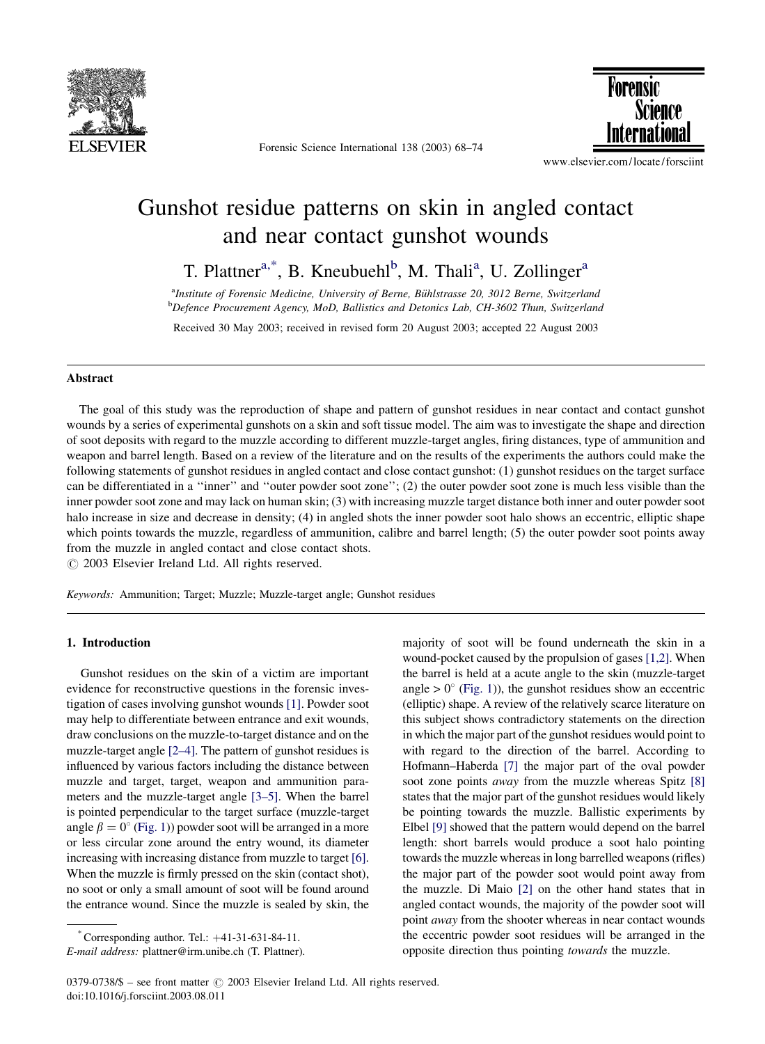

Forensic Science International 138 (2003) 68–74



www.elsevier.com/locate/forsciint

# Gunshot residue patterns on skin in angled contact and near contact gunshot wounds

T. Plattner<sup>a,\*</sup>, B. Kneubuehl<sup>b</sup>, M. Thali<sup>a</sup>, U. Zollinger<sup>a</sup>

<sup>a</sup>Institute of Forensic Medicine, University of Berne, Bühlstrasse 20, 3012 Berne, Switzerland **b** Defence Procurement Agency, MoD, Ballistics and Detonics Lab, CH-3602 Thun, Switzerland

Received 30 May 2003; received in revised form 20 August 2003; accepted 22 August 2003

#### Abstract

The goal of this study was the reproduction of shape and pattern of gunshot residues in near contact and contact gunshot wounds by a series of experimental gunshots on a skin and soft tissue model. The aim was to investigate the shape and direction of soot deposits with regard to the muzzle according to different muzzle-target angles, firing distances, type of ammunition and weapon and barrel length. Based on a review of the literature and on the results of the experiments the authors could make the following statements of gunshot residues in angled contact and close contact gunshot: (1) gunshot residues on the target surface can be differentiated in a ''inner'' and ''outer powder soot zone''; (2) the outer powder soot zone is much less visible than the inner powder soot zone and may lack on human skin; (3) with increasing muzzle target distance both inner and outer powder soot halo increase in size and decrease in density; (4) in angled shots the inner powder soot halo shows an eccentric, elliptic shape which points towards the muzzle, regardless of ammunition, calibre and barrel length; (5) the outer powder soot points away from the muzzle in angled contact and close contact shots.

 $\odot$  2003 Elsevier Ireland Ltd. All rights reserved.

Keywords: Ammunition; Target; Muzzle; Muzzle-target angle; Gunshot residues

### 1. Introduction

Gunshot residues on the skin of a victim are important evidence for reconstructive questions in the forensic investigation of cases involving gunshot wounds [\[1\]](#page-6-0). Powder soot may help to differentiate between entrance and exit wounds, draw conclusions on the muzzle-to-target distance and on the muzzle-target angle [\[2–4\].](#page-6-0) The pattern of gunshot residues is influenced by various factors including the distance between muzzle and target, target, weapon and ammunition parameters and the muzzle-target angle [\[3–5\].](#page-6-0) When the barrel is pointed perpendicular to the target surface (muzzle-target angle  $\beta = 0^{\circ}$  [\(Fig. 1](#page-1-0))) powder soot will be arranged in a more or less circular zone around the entry wound, its diameter increasing with increasing distance from muzzle to target [\[6\]](#page-6-0). When the muzzle is firmly pressed on the skin (contact shot), no soot or only a small amount of soot will be found around the entrance wound. Since the muzzle is sealed by skin, the majority of soot will be found underneath the skin in a wound-pocket caused by the propulsion of gases [\[1,2\]](#page-6-0). When the barrel is held at a acute angle to the skin (muzzle-target angle  $> 0^{\circ}$  ([Fig. 1\)](#page-1-0)), the gunshot residues show an eccentric (elliptic) shape. A review of the relatively scarce literature on this subject shows contradictory statements on the direction in which the major part of the gunshot residues would point to with regard to the direction of the barrel. According to Hofmann–Haberda [\[7\]](#page-6-0) the major part of the oval powder soot zone points *away* from the muzzle whereas Spitz [\[8\]](#page-6-0) states that the major part of the gunshot residues would likely be pointing towards the muzzle. Ballistic experiments by Elbel [\[9\]](#page-6-0) showed that the pattern would depend on the barrel length: short barrels would produce a soot halo pointing towards the muzzle whereas in long barrelled weapons (rifles) the major part of the powder soot would point away from the muzzle. Di Maio [\[2\]](#page-6-0) on the other hand states that in angled contact wounds, the majority of the powder soot will point away from the shooter whereas in near contact wounds the eccentric powder soot residues will be arranged in the opposite direction thus pointing towards the muzzle.

 $^*$  Corresponding author. Tel.:  $+41-31-631-84-11$ .

E-mail address: plattner@irm.unibe.ch (T. Plattner).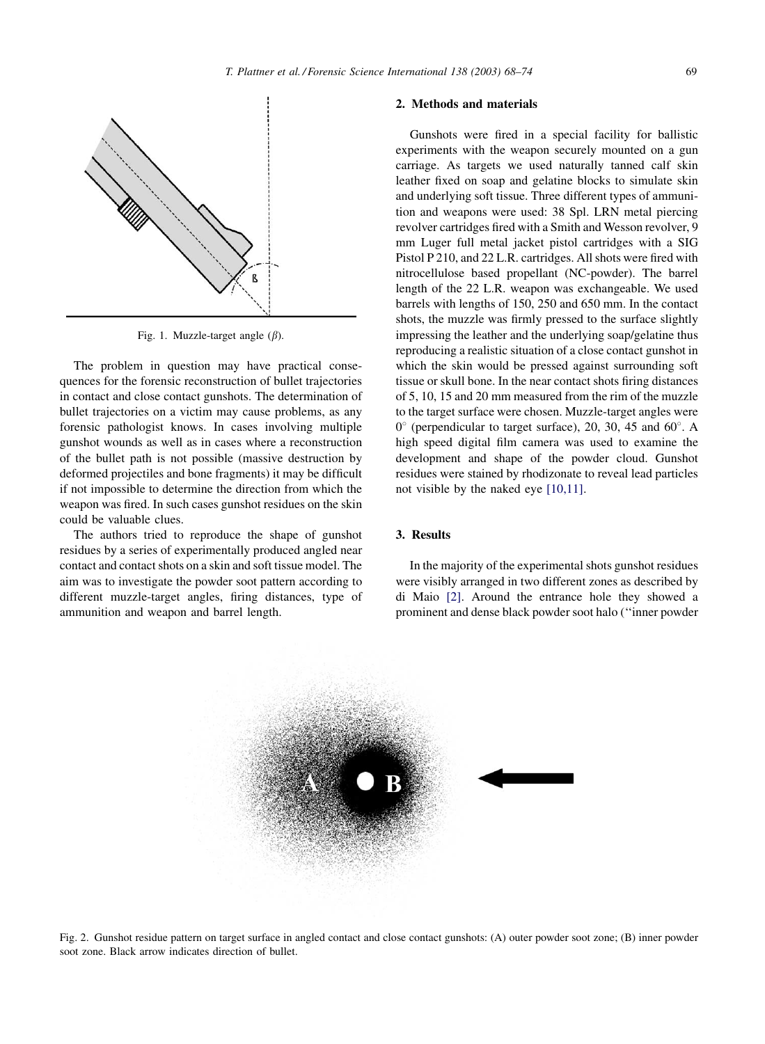

<span id="page-1-0"></span>

Fig. 1. Muzzle-target angle  $(\beta)$ .

The problem in question may have practical consequences for the forensic reconstruction of bullet trajectories in contact and close contact gunshots. The determination of bullet trajectories on a victim may cause problems, as any forensic pathologist knows. In cases involving multiple gunshot wounds as well as in cases where a reconstruction of the bullet path is not possible (massive destruction by deformed projectiles and bone fragments) it may be difficult if not impossible to determine the direction from which the weapon was fired. In such cases gunshot residues on the skin could be valuable clues.

The authors tried to reproduce the shape of gunshot residues by a series of experimentally produced angled near contact and contact shots on a skin and soft tissue model. The aim was to investigate the powder soot pattern according to different muzzle-target angles, firing distances, type of ammunition and weapon and barrel length.

## 2. Methods and materials

Gunshots were fired in a special facility for ballistic experiments with the weapon securely mounted on a gun carriage. As targets we used naturally tanned calf skin leather fixed on soap and gelatine blocks to simulate skin and underlying soft tissue. Three different types of ammunition and weapons were used: 38 Spl. LRN metal piercing revolver cartridges fired with a Smith and Wesson revolver, 9 mm Luger full metal jacket pistol cartridges with a SIG Pistol P 210, and 22 L.R. cartridges. All shots were fired with nitrocellulose based propellant (NC-powder). The barrel length of the 22 L.R. weapon was exchangeable. We used barrels with lengths of 150, 250 and 650 mm. In the contact shots, the muzzle was firmly pressed to the surface slightly impressing the leather and the underlying soap/gelatine thus reproducing a realistic situation of a close contact gunshot in which the skin would be pressed against surrounding soft tissue or skull bone. In the near contact shots firing distances of 5, 10, 15 and 20 mm measured from the rim of the muzzle to the target surface were chosen. Muzzle-target angles were  $0^{\circ}$  (perpendicular to target surface), 20, 30, 45 and 60 $^{\circ}$ . A high speed digital film camera was used to examine the development and shape of the powder cloud. Gunshot residues were stained by rhodizonate to reveal lead particles not visible by the naked eye [\[10,11\]](#page-6-0).

## 3. Results

In the majority of the experimental shots gunshot residues were visibly arranged in two different zones as described by di Maio [\[2\]](#page-6-0). Around the entrance hole they showed a prominent and dense black powder soot halo (''inner powder



Fig. 2. Gunshot residue pattern on target surface in angled contact and close contact gunshots: (A) outer powder soot zone; (B) inner powder soot zone. Black arrow indicates direction of bullet.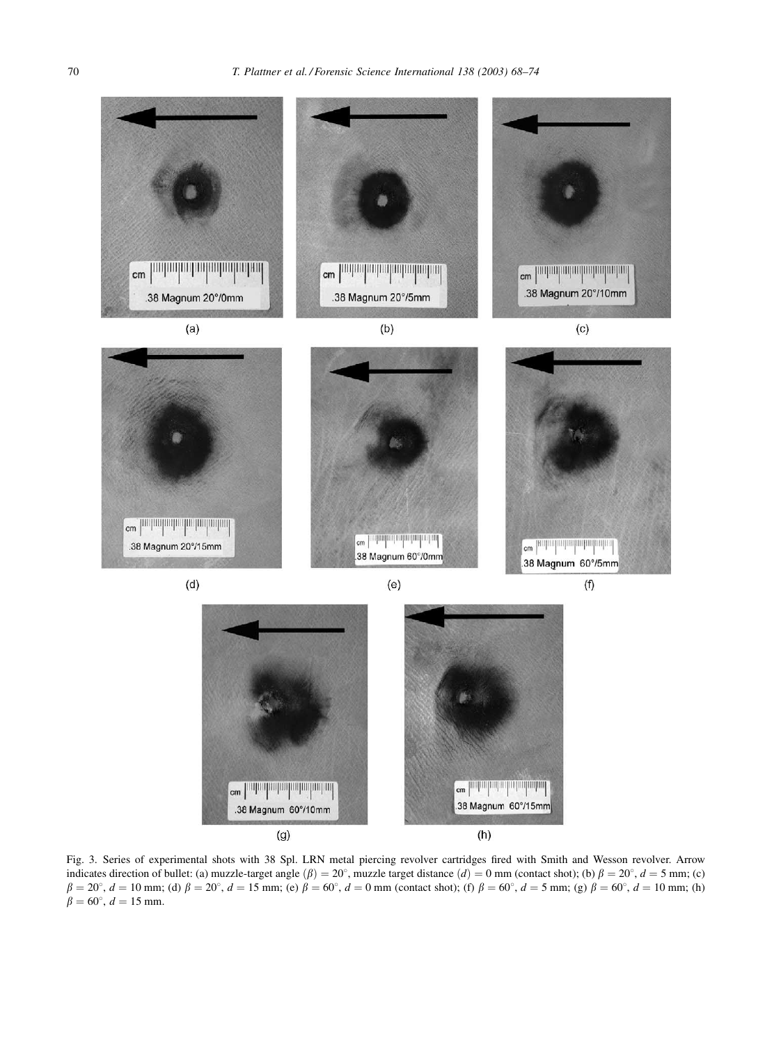<span id="page-2-0"></span>

Fig. 3. Series of experimental shots with 38 Spl. LRN metal piercing revolver cartridges fired with Smith and Wesson revolver. Arrow indicates direction of bullet: (a) muzzle-target angle  $(\beta) = 20^{\circ}$ , muzzle target distance  $(d) = 0$  mm (contact shot); (b)  $\beta = 20^{\circ}$ ,  $d = 5$  mm; (c)  $\beta = 20^{\circ}$ ,  $d = 10$  mm; (d)  $\beta = 20^{\circ}$ ,  $d = 15$  mm; (e)  $\beta = 60^{\circ}$ ,  $d = 0$  mm (contact shot); (f)  $\beta = 60^{\circ}$ ,  $d = 5$  mm; (g)  $\beta = 60^{\circ}$ ,  $d = 10$  mm; (h)  $\beta = 60^{\circ}, d = 15$  mm.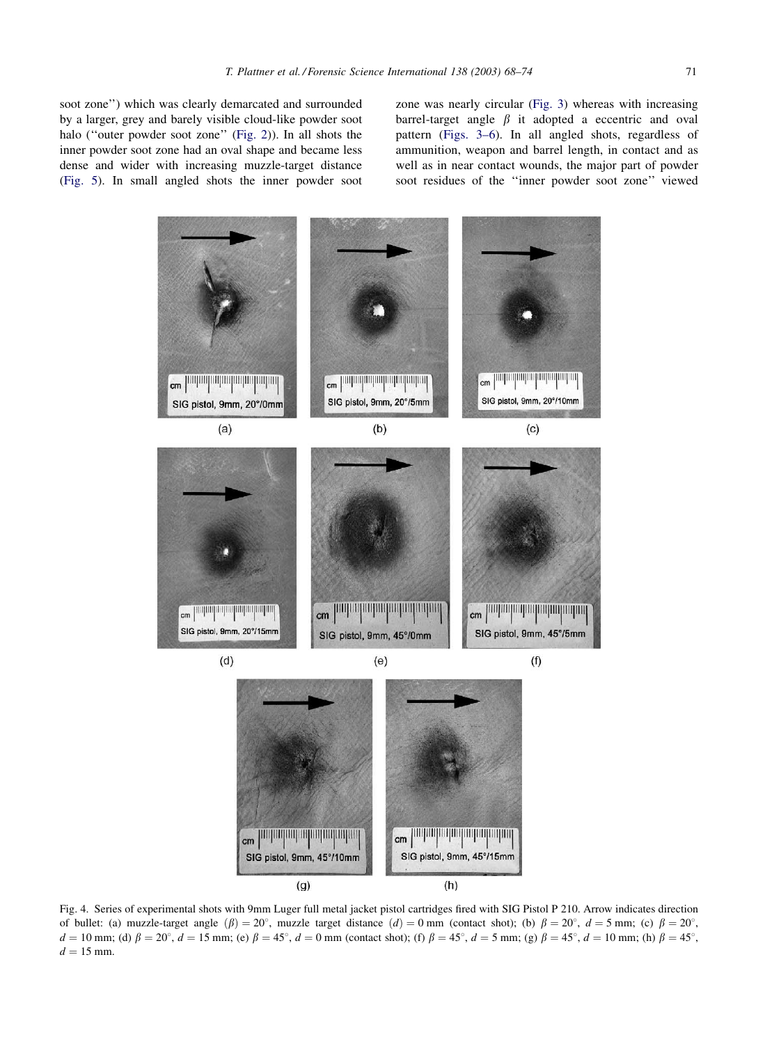soot zone'') which was clearly demarcated and surrounded by a larger, grey and barely visible cloud-like powder soot halo (''outer powder soot zone'' [\(Fig. 2](#page-1-0))). In all shots the inner powder soot zone had an oval shape and became less dense and wider with increasing muzzle-target distance ([Fig. 5\)](#page-4-0). In small angled shots the inner powder soot

zone was nearly circular [\(Fig. 3](#page-2-0)) whereas with increasing barrel-target angle  $\beta$  it adopted a eccentric and oval pattern ([Figs. 3–6\)](#page-2-0). In all angled shots, regardless of ammunition, weapon and barrel length, in contact and as well as in near contact wounds, the major part of powder soot residues of the ''inner powder soot zone'' viewed



Fig. 4. Series of experimental shots with 9mm Luger full metal jacket pistol cartridges fired with SIG Pistol P 210. Arrow indicates direction of bullet: (a) muzzle-target angle  $(\beta) = 20^{\circ}$ , muzzle target distance  $(d) = 0$  mm (contact shot); (b)  $\beta = 20^{\circ}$ ,  $d = 5$  mm; (c)  $\beta = 20^{\circ}$ ,  $d = 10$  mm; (d)  $\beta = 20^{\circ}$ ,  $d = 15$  mm; (e)  $\beta = 45^{\circ}$ ,  $d = 0$  mm (contact shot); (f)  $\beta = 45^{\circ}$ ,  $d = 5$  mm; (g)  $\beta = 45^{\circ}$ ,  $d = 10$  mm; (h)  $\beta = 45^{\circ}$ ,  $d = 15$  mm.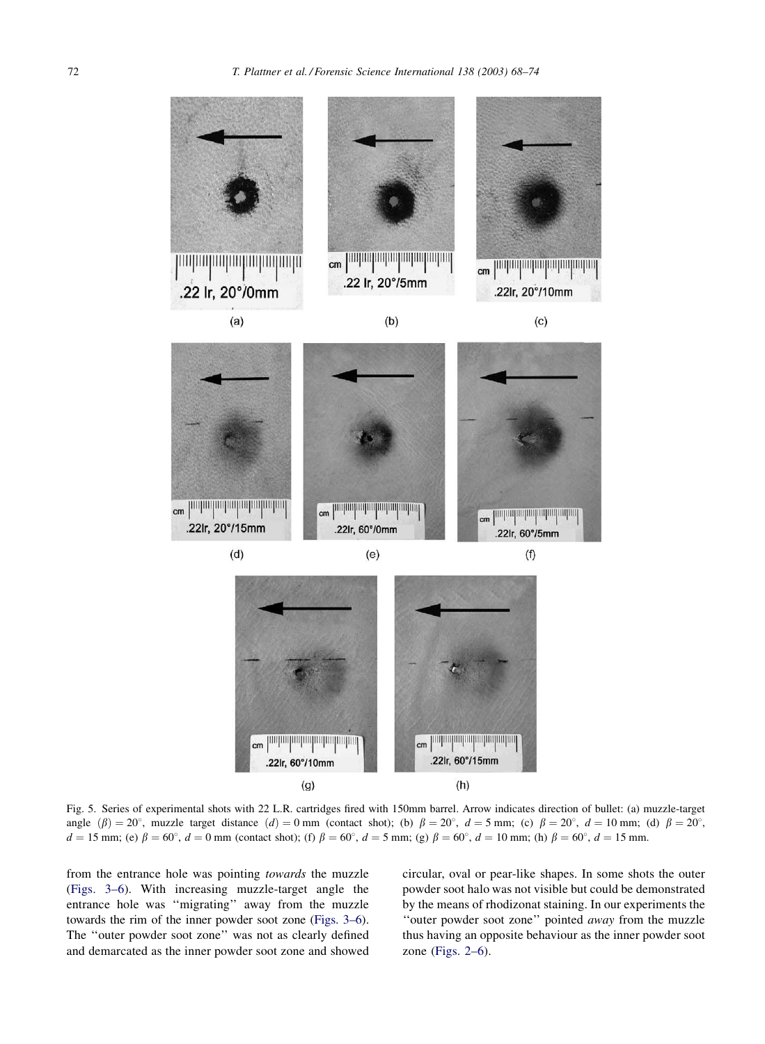<span id="page-4-0"></span>72 T. Plattner et al. / Forensic Science International 138 (2003) 68–74



 $(g)$ 

 $(h)$ 

Fig. 5. Series of experimental shots with 22 L.R. cartridges fired with 150mm barrel. Arrow indicates direction of bullet: (a) muzzle-target angle  $(\beta) = 20^{\circ}$ , muzzle target distance  $(d) = 0$  mm (contact shot); (b)  $\beta = 20^{\circ}$ ,  $d = 5$  mm; (c)  $\beta = 20^{\circ}$ ,  $d = 10$  mm; (d)  $\beta = 20^{\circ}$ ,  $d = 15$  mm; (e)  $\beta = 60^{\circ}$ ,  $d = 0$  mm (contact shot); (f)  $\beta = 60^{\circ}$ ,  $d = 5$  mm; (g)  $\beta = 60^{\circ}$ ,  $d = 10$  mm; (h)  $\beta = 60^{\circ}$ ,  $d = 15$  mm.

from the entrance hole was pointing towards the muzzle [\(Figs. 3–6](#page-2-0)). With increasing muzzle-target angle the entrance hole was ''migrating'' away from the muzzle towards the rim of the inner powder soot zone ([Figs. 3–6](#page-2-0)). The ''outer powder soot zone'' was not as clearly defined and demarcated as the inner powder soot zone and showed circular, oval or pear-like shapes. In some shots the outer powder soot halo was not visible but could be demonstrated by the means of rhodizonat staining. In our experiments the "outer powder soot zone" pointed away from the muzzle thus having an opposite behaviour as the inner powder soot zone ([Figs. 2–6](#page-1-0)).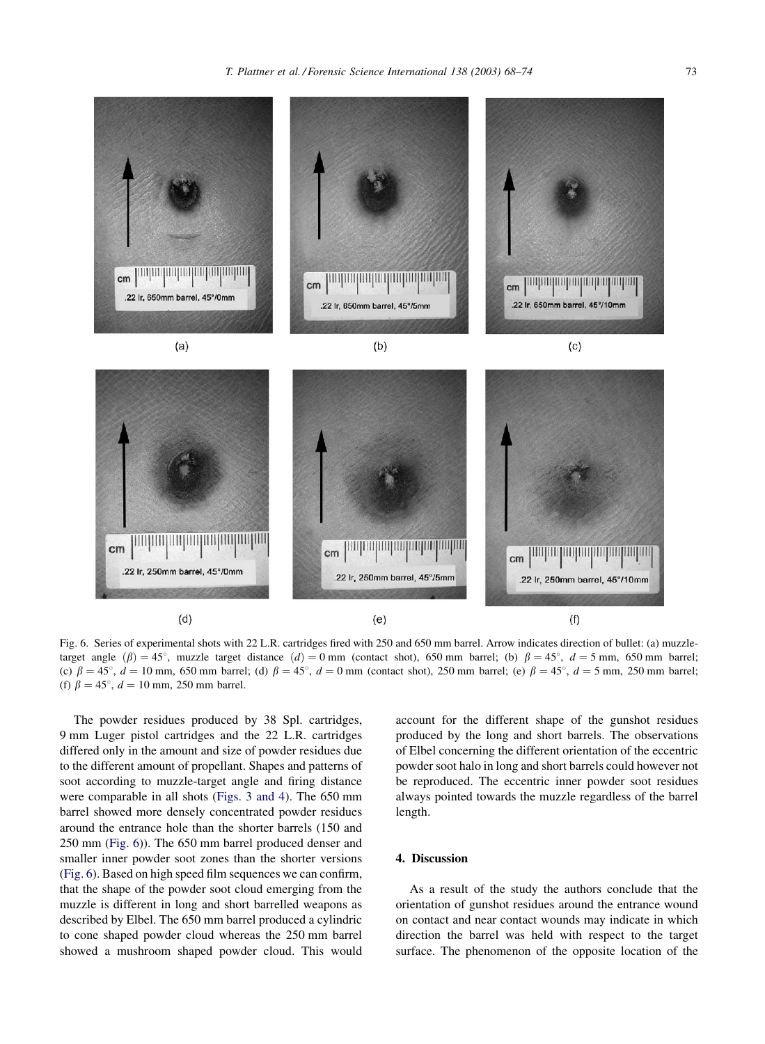

Fig. 6. Series of experimental shots with 22 L.R. cartridges fired with 250 and 650 mm barrel. Arrow indicates direction of bullet: (a) muzzletarget angle  $(\beta) = 45^{\circ}$ , muzzle target distance  $(d) = 0$  mm (contact shot), 650 mm barrel; (b)  $\beta = 45^{\circ}$ ,  $d = 5$  mm, 650 mm barrel; (c)  $\beta = 45^{\circ}$ ,  $d = 10$  mm, 650 mm barrel; (d)  $\beta = 45^{\circ}$ ,  $d = 0$  mm (contact shot), 250 mm barrel; (e)  $\beta = 45^{\circ}$ ,  $d = 5$  mm, 250 mm barrel; (f)  $\beta = 45^{\circ}$ ,  $d = 10$  mm, 250 mm barrel.

 $(e)$ 

cm

**paguapaguapaguapagu** 

22 lr, 250mm barrel, 45°/5mm

The powder residues produced by 38 Spl. cartridges, 9 mm Luger pistol cartridges and the 22 L.R. cartridges differed only in the amount and size of powder residues due to the different amount of propellant. Shapes and patterns of soot according to muzzle-target angle and firing distance were comparable in all shots [\(Figs. 3 and 4\)](#page-2-0). The 650 mm barrel showed more densely concentrated powder residues around the entrance hole than the shorter barrels (150 and 250 mm (Fig. 6)). The 650 mm barrel produced denser and smaller inner powder soot zones than the shorter versions (Fig. 6). Based on high speed film sequences we can confirm, that the shape of the powder soot cloud emerging from the muzzle is different in long and short barrelled weapons as described by Elbel. The 650 mm barrel produced a cylindric to cone shaped powder cloud whereas the 250 mm barrel showed a mushroom shaped powder cloud. This would

.22 lr. 250mm barrel, 45°/0mm

 $(d)$ 

 $cm$ 

account for the different shape of the gunshot residues produced by the long and short barrels. The observations of Elbel concerning the different orientation of the eccentric powder soot halo in long and short barrels could however not be reproduced. The eccentric inner powder soot residues always pointed towards the muzzle regardless of the barrel length.

 $cm$ 

*<u>purporpuguiguiguiguigui</u>* 

.22 lr. 250mm barrel, 45°/10mm

 $(f)$ 

## 4. Discussion

As a result of the study the authors conclude that the orientation of gunshot residues around the entrance wound on contact and near contact wounds may indicate in which direction the barrel was held with respect to the target surface. The phenomenon of the opposite location of the